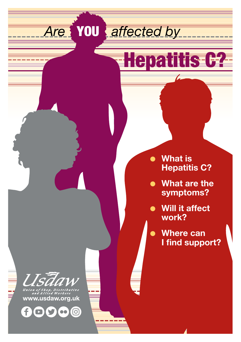*Are* YOU *affected by*

# **Hepatitis C?**

- **e** What is **Hepatitis C?**
- $\bullet$  What are the **symptoms?**
- **.** Will it affect **work?**
	- l **Where can I find support?**



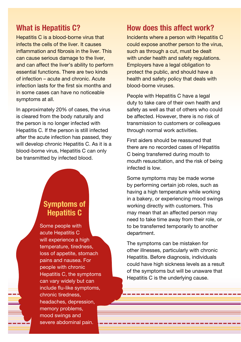## **What is Hepatitis C?**

Hepatitis C is a blood-borne virus that infects the cells of the liver. It causes inflammation and fibrosis in the liver. This can cause serious damage to the liver, and can affect the liver's ability to perform essential functions. There are two kinds of infection – acute and chronic. Acute infection lasts for the first six months and in some cases can have no noticeable symptoms at all.

In approximately 20% of cases, the virus is cleared from the body naturally and the person is no longer infected with Hepatitis C. If the person is still infected after the acute infection has passed, they will develop chronic Hepatitis C. As it is a blood-borne virus, Hepatitis C can only be transmitted by infected blood.

# **Symptoms of Hepatitis C**

Some people with acute Hepatitis C will experience a high temperature, tiredness, loss of appetite, stomach pains and nausea. For people with chronic Hepatitis C, the symptoms can vary widely but can include flu-like symptoms, chronic tiredness, headaches, depression, memory problems, mood swings and severe abdominal pain.

## **How does this affect work?**

Incidents where a person with Hepatitis C could expose another person to the virus, such as through a cut, must be dealt with under health and safety regulations. Employers have a legal obligation to protect the public, and should have a health and safety policy that deals with blood-borne viruses.

People with Hepatitis C have a legal duty to take care of their own health and safety as well as that of others who could be affected. However, there is no risk of transmission to customers or colleagues through normal work activities.

First aiders should be reassured that there are no recorded cases of Hepatitis C being transferred during mouth to mouth resuscitation, and the risk of being infected is low.

Some symptoms may be made worse by performing certain job roles, such as having a high temperature while working in a bakery, or experiencing mood swings working directly with customers. This may mean that an affected person may need to take time away from their role, or to be transferred temporarily to another department.

The symptoms can be mistaken for other illnesses, particularly with chronic Hepatitis. Before diagnosis, individuals could have high sickness levels as a result of the symptoms but will be unaware that Hepatitis C is the underlying cause.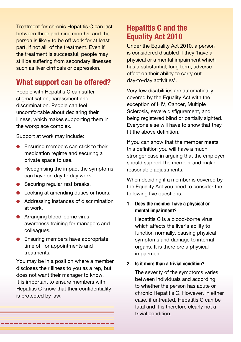Treatment for chronic Hepatitis C can last between three and nine months, and the person is likely to be off work for at least part, if not all, of the treatment. Even if the treatment is successful, people may still be suffering from secondary illnesses. such as liver cirrhosis or depression.

## **What support can be offered?**

People with Hepatitis C can suffer stigmatisation, harassment and discrimination. People can feel uncomfortable about declaring their illness, which makes supporting them in the workplace complex.

Support at work may include:

- Ensuring members can stick to their medication regime and securing a private space to use.
- $\bullet$  Recognising the impact the symptoms can have on day to day work.
- Securing regular rest breaks.
- Looking at amending duties or hours.
- Addressing instances of discrimination at work.
- **Arranging blood-borne virus** awareness training for managers and colleagues.
- $\bullet$  Ensuring members have appropriate time off for appointments and treatments.

You may be in a position where a member discloses their illness to you as a rep, but does not want their manager to know. It is important to ensure members with Hepatitis C know that their confidentiality is protected by law.

\_\_\_\_\_\_\_\_\_\_\_

# **Hepatitis C and the Equality Act 2010**

Under the Equality Act 2010, a person is considered disabled if they 'have a physical or a mental impairment which has a substantial, long term, adverse effect on their ability to carry out day-to-day activities'.

Very few disabilities are automatically covered by the Equality Act with the exception of HIV, Cancer, Multiple Sclerosis, severe disfigurement, and being registered blind or partially sighted. Everyone else will have to show that they fit the above definition.

If you can show that the member meets this definition you will have a much stronger case in arguing that the employer should support the member and make reasonable adjustments.

When deciding if a member is covered by the Equality Act you need to consider the following five questions:

#### **1. Does the member have a physical or mental impairment?**

Hepatitis C is a blood-borne virus which affects the liver's ability to function normally, causing physical symptoms and damage to internal organs. It is therefore a physical impairment.

#### **2. Is it more than a trivial condition?**

The severity of the symptoms varies between individuals and according to whether the person has acute or chronic Hepatitis C. However, in either case, if untreated, Hepatitis C can be fatal and it is therefore clearly not a trivial condition.